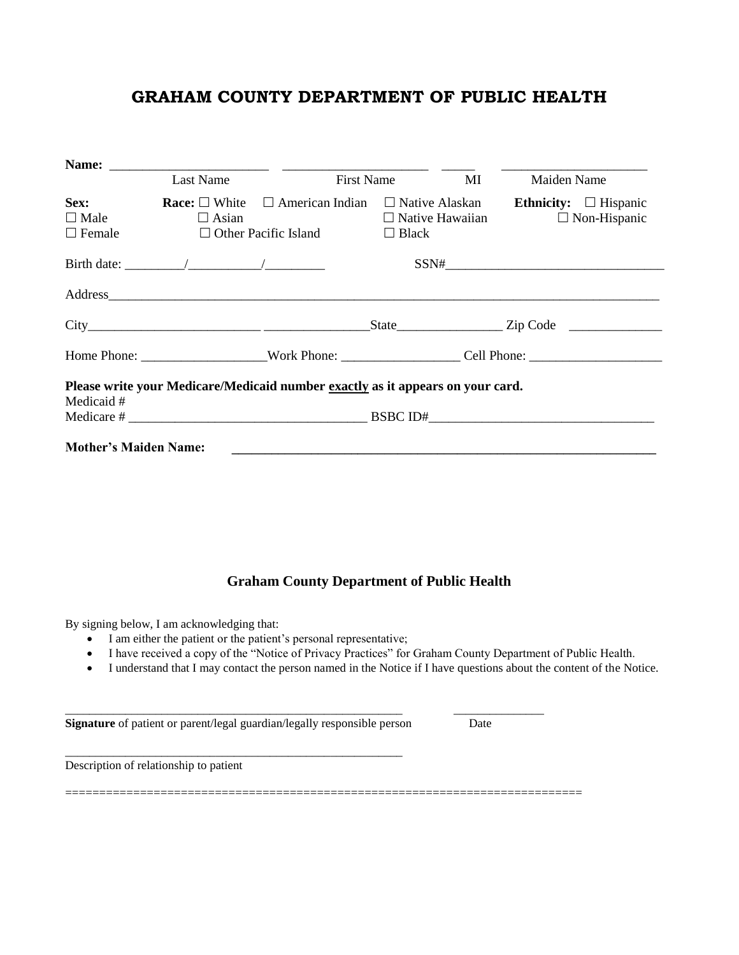## **GRAHAM COUNTY DEPARTMENT OF PUBLIC HEALTH**

|                                      | Last Name                                                                                                             | <b>First Name</b><br>МI | Maiden Name                                                              |
|--------------------------------------|-----------------------------------------------------------------------------------------------------------------------|-------------------------|--------------------------------------------------------------------------|
| Sex:<br>$\Box$ Male<br>$\Box$ Female | <b>Race:</b> $\Box$ White $\Box$ American Indian $\Box$ Native Alaskan<br>$\Box$ Asian<br>$\Box$ Other Pacific Island | $\Box$ Black            | Ethnicity: $\Box$ Hispanic<br>$\Box$ Native Hawaiian $\Box$ Non-Hispanic |
|                                      |                                                                                                                       |                         |                                                                          |
|                                      |                                                                                                                       |                         |                                                                          |
|                                      |                                                                                                                       |                         |                                                                          |
|                                      |                                                                                                                       |                         |                                                                          |
|                                      | Please write your Medicare/Medicaid number exactly as it appears on your card.                                        |                         |                                                                          |
| Medicaid #                           |                                                                                                                       |                         | Medicare $\#$ BSBC ID#                                                   |

## **Graham County Department of Public Health**

By signing below, I am acknowledging that:

- I am either the patient or the patient's personal representative;
- I have received a copy of the "Notice of Privacy Practices" for Graham County Department of Public Health.
- I understand that I may contact the person named in the Notice if I have questions about the content of the Notice.

**Signature** of patient or parent/legal guardian/legally responsible person Date

\_\_\_\_\_\_\_\_\_\_\_\_\_\_\_\_\_\_\_\_\_\_\_\_\_\_\_\_\_\_\_\_\_\_\_\_\_\_\_\_\_\_\_\_\_\_\_\_\_\_\_\_\_\_\_\_

Description of relationship to patient

============================================================================

\_\_\_\_\_\_\_\_\_\_\_\_\_\_\_\_\_\_\_\_\_\_\_\_\_\_\_\_\_\_\_\_\_\_\_\_\_\_\_\_\_\_\_\_\_\_\_\_\_\_\_\_\_\_\_\_ \_\_\_\_\_\_\_\_\_\_\_\_\_\_\_